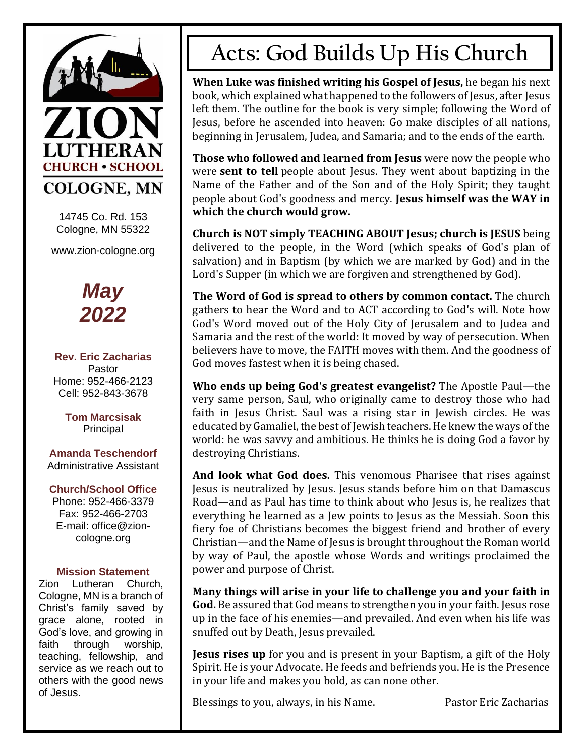

14745 Co. Rd. 153 Cologne, MN 55322

www.zion-cologne.org



**Rev. Eric Zacharias** Pastor Home: 952-466-2123 Cell: 952-843-3678

> **Tom Marcsisak** Principal

**Amanda Teschendorf** Administrative Assistant

#### **Church/School Office**

Phone: 952-466-3379 Fax: 952-466-2703 E-mail: office@zioncologne.org

#### **Mission Statement**

Zion Lutheran Church, Cologne, MN is a branch of Christ's family saved by grace alone, rooted in God's love, and growing in faith through worship, teaching, fellowship, and service as we reach out to others with the good news of Jesus.

# **Acts: God Builds Up His Church**

**When Luke was finished writing his Gospel of Jesus,** he began his next book, which explained what happened to the followers of Jesus, after Jesus left them. The outline for the book is very simple; following the Word of Jesus, before he ascended into heaven: Go make disciples of all nations, beginning in Jerusalem, Judea, and Samaria; and to the ends of the earth.

**Those who followed and learned from Jesus** were now the people who were **sent to tell** people about Jesus. They went about baptizing in the Name of the Father and of the Son and of the Holy Spirit; they taught people about God's goodness and mercy. **Jesus himself was the WAY in which the church would grow.**

**Church is NOT simply TEACHING ABOUT Jesus; church is JESUS** being delivered to the people, in the Word (which speaks of God's plan of salvation) and in Baptism (by which we are marked by God) and in the Lord's Supper (in which we are forgiven and strengthened by God).

**The Word of God is spread to others by common contact.** The church gathers to hear the Word and to ACT according to God's will. Note how God's Word moved out of the Holy City of Jerusalem and to Judea and Samaria and the rest of the world: It moved by way of persecution. When believers have to move, the FAITH moves with them. And the goodness of God moves fastest when it is being chased.

**Who ends up being God's greatest evangelist?** The Apostle Paul—the very same person, Saul, who originally came to destroy those who had faith in Jesus Christ. Saul was a rising star in Jewish circles. He was educated by Gamaliel, the best of Jewish teachers. He knew the ways of the world: he was savvy and ambitious. He thinks he is doing God a favor by destroying Christians.

**And look what God does.** This venomous Pharisee that rises against Jesus is neutralized by Jesus. Jesus stands before him on that Damascus Road—and as Paul has time to think about who Jesus is, he realizes that everything he learned as a Jew points to Jesus as the Messiah. Soon this fiery foe of Christians becomes the biggest friend and brother of every Christian—and the Name of Jesus is brought throughout the Roman world by way of Paul, the apostle whose Words and writings proclaimed the power and purpose of Christ.

**Many things will arise in your life to challenge you and your faith in God.** Be assured that God means to strengthen you in your faith. Jesus rose up in the face of his enemies—and prevailed. And even when his life was snuffed out by Death, Jesus prevailed.

**Jesus rises up** for you and is present in your Baptism, a gift of the Holy Spirit. He is your Advocate. He feeds and befriends you. He is the Presence in your life and makes you bold, as can none other.

Blessings to you, always, in his Name. Pastor Eric Zacharias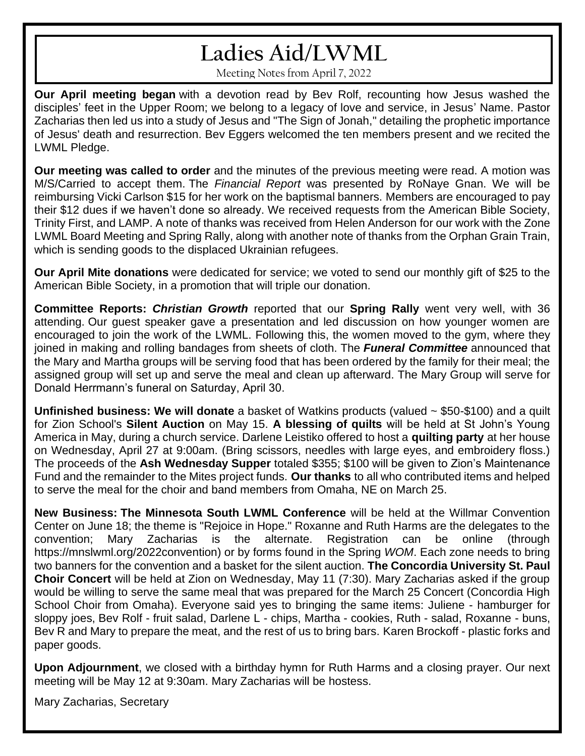# **Ladies Aid/LWML**

Meeting Notes from April 7, 2022

**Our April meeting began** with a devotion read by Bev Rolf, recounting how Jesus washed the disciples' feet in the Upper Room; we belong to a legacy of love and service, in Jesus' Name. Pastor Zacharias then led us into a study of Jesus and "The Sign of Jonah," detailing the prophetic importance of Jesus' death and resurrection. Bev Eggers welcomed the ten members present and we recited the LWML Pledge.

**Our meeting was called to order** and the minutes of the previous meeting were read. A motion was M/S/Carried to accept them. The *Financial Report* was presented by RoNaye Gnan. We will be reimbursing Vicki Carlson \$15 for her work on the baptismal banners. Members are encouraged to pay their \$12 dues if we haven't done so already. We received requests from the American Bible Society, Trinity First, and LAMP. A note of thanks was received from Helen Anderson for our work with the Zone LWML Board Meeting and Spring Rally, along with another note of thanks from the Orphan Grain Train, which is sending goods to the displaced Ukrainian refugees.

**Our April Mite donations** were dedicated for service; we voted to send our monthly gift of \$25 to the American Bible Society, in a promotion that will triple our donation.

**Committee Reports:** *Christian Growth* reported that our **Spring Rally** went very well, with 36 attending. Our guest speaker gave a presentation and led discussion on how younger women are encouraged to join the work of the LWML. Following this, the women moved to the gym, where they joined in making and rolling bandages from sheets of cloth. The *Funeral Committee* announced that the Mary and Martha groups will be serving food that has been ordered by the family for their meal; the assigned group will set up and serve the meal and clean up afterward. The Mary Group will serve for Donald Herrmann's funeral on Saturday, April 30.

**Unfinished business: We will donate** a basket of Watkins products (valued ~ \$50-\$100) and a quilt for Zion School's **Silent Auction** on May 15. **A blessing of quilts** will be held at St John's Young America in May, during a church service. Darlene Leistiko offered to host a **quilting party** at her house on Wednesday, April 27 at 9:00am. (Bring scissors, needles with large eyes, and embroidery floss.) The proceeds of the **Ash Wednesday Supper** totaled \$355; \$100 will be given to Zion's Maintenance Fund and the remainder to the Mites project funds. **Our thanks** to all who contributed items and helped to serve the meal for the choir and band members from Omaha, NE on March 25.

**New Business: The Minnesota South LWML Conference** will be held at the Willmar Convention Center on June 18; the theme is "Rejoice in Hope." Roxanne and Ruth Harms are the delegates to the convention; Mary Zacharias is the alternate. Registration can be online (through https://mnslwml.org/2022convention) or by forms found in the Spring *WOM*. Each zone needs to bring two banners for the convention and a basket for the silent auction. **The Concordia University St. Paul Choir Concert** will be held at Zion on Wednesday, May 11 (7:30). Mary Zacharias asked if the group would be willing to serve the same meal that was prepared for the March 25 Concert (Concordia High School Choir from Omaha). Everyone said yes to bringing the same items: Juliene - hamburger for sloppy joes, Bev Rolf - fruit salad, Darlene L - chips, Martha - cookies, Ruth - salad, Roxanne - buns, Bev R and Mary to prepare the meat, and the rest of us to bring bars. Karen Brockoff - plastic forks and paper goods.

**Upon Adjournment**, we closed with a birthday hymn for Ruth Harms and a closing prayer. Our next meeting will be May 12 at 9:30am. Mary Zacharias will be hostess.

Mary Zacharias, Secretary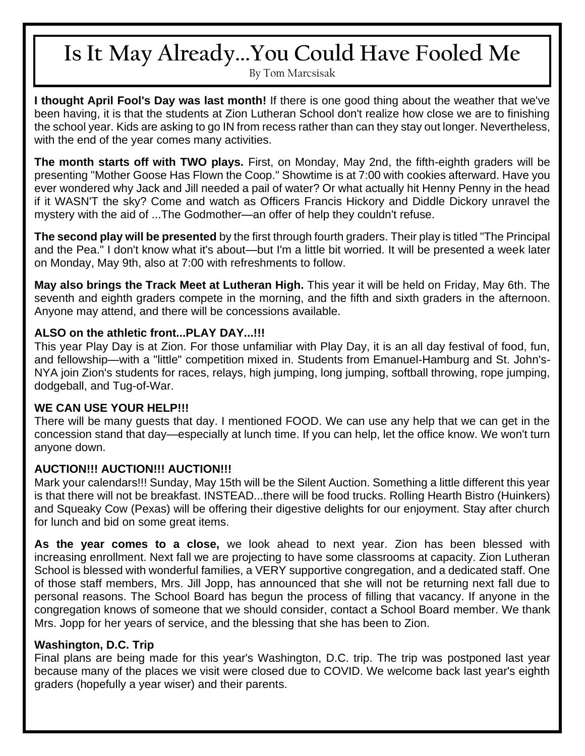# **Is It May Already...You Could Have Fooled Me**

By Tom Marcsisak

**I thought April Fool's Day was last month!** If there is one good thing about the weather that we've been having, it is that the students at Zion Lutheran School don't realize how close we are to finishing the school year. Kids are asking to go IN from recess rather than can they stay out longer. Nevertheless, with the end of the year comes many activities.

**The month starts off with TWO plays.** First, on Monday, May 2nd, the fifth-eighth graders will be presenting "Mother Goose Has Flown the Coop." Showtime is at 7:00 with cookies afterward. Have you ever wondered why Jack and Jill needed a pail of water? Or what actually hit Henny Penny in the head if it WASN'T the sky? Come and watch as Officers Francis Hickory and Diddle Dickory unravel the mystery with the aid of ...The Godmother—an offer of help they couldn't refuse.

**The second play will be presented** by the first through fourth graders. Their play is titled "The Principal and the Pea." I don't know what it's about—but I'm a little bit worried. It will be presented a week later on Monday, May 9th, also at 7:00 with refreshments to follow.

**May also brings the Track Meet at Lutheran High.** This year it will be held on Friday, May 6th. The seventh and eighth graders compete in the morning, and the fifth and sixth graders in the afternoon. Anyone may attend, and there will be concessions available.

#### **ALSO on the athletic front...PLAY DAY...!!!**

This year Play Day is at Zion. For those unfamiliar with Play Day, it is an all day festival of food, fun, and fellowship—with a "little" competition mixed in. Students from Emanuel-Hamburg and St. John's-NYA join Zion's students for races, relays, high jumping, long jumping, softball throwing, rope jumping, dodgeball, and Tug-of-War.

### **WE CAN USE YOUR HELP!!!**

There will be many guests that day. I mentioned FOOD. We can use any help that we can get in the concession stand that day—especially at lunch time. If you can help, let the office know. We won't turn anyone down.

### **AUCTION!!! AUCTION!!! AUCTION!!!**

Mark your calendars!!! Sunday, May 15th will be the Silent Auction. Something a little different this year is that there will not be breakfast. INSTEAD...there will be food trucks. Rolling Hearth Bistro (Huinkers) and Squeaky Cow (Pexas) will be offering their digestive delights for our enjoyment. Stay after church for lunch and bid on some great items.

**As the year comes to a close,** we look ahead to next year. Zion has been blessed with increasing enrollment. Next fall we are projecting to have some classrooms at capacity. Zion Lutheran School is blessed with wonderful families, a VERY supportive congregation, and a dedicated staff. One of those staff members, Mrs. Jill Jopp, has announced that she will not be returning next fall due to personal reasons. The School Board has begun the process of filling that vacancy. If anyone in the congregation knows of someone that we should consider, contact a School Board member. We thank Mrs. Jopp for her years of service, and the blessing that she has been to Zion.

#### **Washington, D.C. Trip**

Final plans are being made for this year's Washington, D.C. trip. The trip was postponed last year because many of the places we visit were closed due to COVID. We welcome back last year's eighth graders (hopefully a year wiser) and their parents.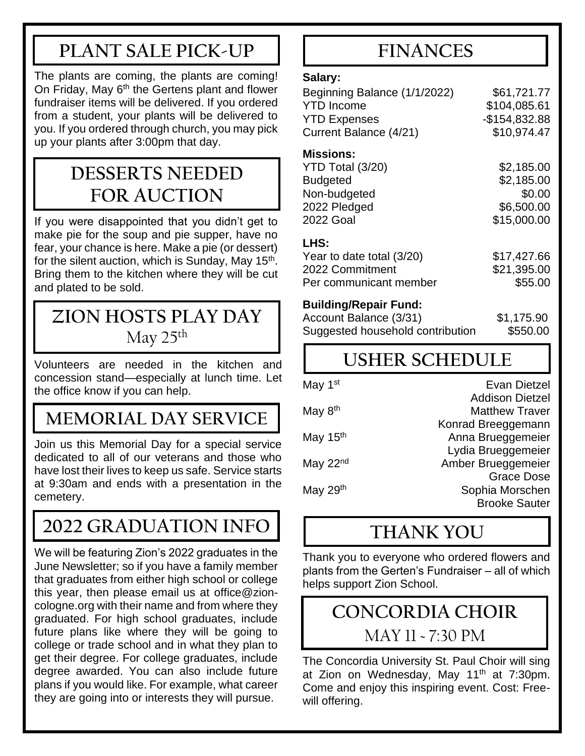## **PLANT SALE PICK-UP**

The plants are coming, the plants are coming! On Friday, May  $6<sup>th</sup>$  the Gertens plant and flower fundraiser items will be delivered. If you ordered from a student, your plants will be delivered to you. If you ordered through church, you may pick up your plants after 3:00pm that day.

### **DESSERTS NEEDED FOR AUCTION**

If you were disappointed that you didn't get to make pie for the soup and pie supper, have no fear, your chance is here. Make a pie (or dessert) for the silent auction, which is Sunday, May 15<sup>th</sup>. Bring them to the kitchen where they will be cut and plated to be sold.

### **ZION HOSTS PLAY DAY** May  $25<sup>th</sup>$

Volunteers are needed in the kitchen and concession stand—especially at lunch time. Let the office know if you can help.

### **MEMORIAL DAY SERVICE**

Join us this Memorial Day for a special service dedicated to all of our veterans and those who have lost their lives to keep us safe. Service starts at 9:30am and ends with a presentation in the cemetery.

# **2022 GRADUATION INFO**

We will be featuring Zion's 2022 graduates in the June Newsletter; so if you have a family member that graduates from either high school or college this year, then please email us at office@zioncologne.org with their name and from where they graduated. For high school graduates, include future plans like where they will be going to college or trade school and in what they plan to get their degree. For college graduates, include degree awarded. You can also include future plans if you would like. For example, what career they are going into or interests they will pursue.

### **FINANCES**

#### **Salary:**

| \$61,721.77    |
|----------------|
| \$104,085.61   |
| $-$154.832.88$ |
| \$10,974.47    |
|                |

#### **Missions:**

| YTD Total (3/20)          | \$2,185.00  |
|---------------------------|-------------|
| <b>Budgeted</b>           | \$2,185.00  |
| Non-budgeted              | \$0.00      |
| 2022 Pledged              | \$6,500.00  |
| <b>2022 Goal</b>          | \$15,000.00 |
| LHS:                      |             |
| Year to date total (3/20) | \$17,427.66 |
| 000000                    | MAJ AAF AA  |

2022 Commitment \$21,395.00 Per communicant member \$55.00

### **Building/Repair Fund:**

| Account Balance (3/31)           | \$1,175.90 |
|----------------------------------|------------|
| Suggested household contribution | \$550.00   |

# **USHER SCHEDULE**

| Evan Dietzel           |
|------------------------|
| <b>Addison Dietzel</b> |
| <b>Matthew Traver</b>  |
| Konrad Breeggemann     |
| Anna Brueggemeier      |
| Lydia Brueggemeier     |
| Amber Brueggemeier     |
| <b>Grace Dose</b>      |
| Sophia Morschen        |
| <b>Brooke Sauter</b>   |
|                        |

### **THANK YOU**

Thank you to everyone who ordered flowers and plants from the Gerten's Fundraiser – all of which helps support Zion School.

## **CONCORDIA CHOIR**

MAY 11 ~ 7:30 PM

The Concordia University St. Paul Choir will sing at Zion on Wednesday, May 11<sup>th</sup> at 7:30pm. Come and enjoy this inspiring event. Cost: Freewill offering.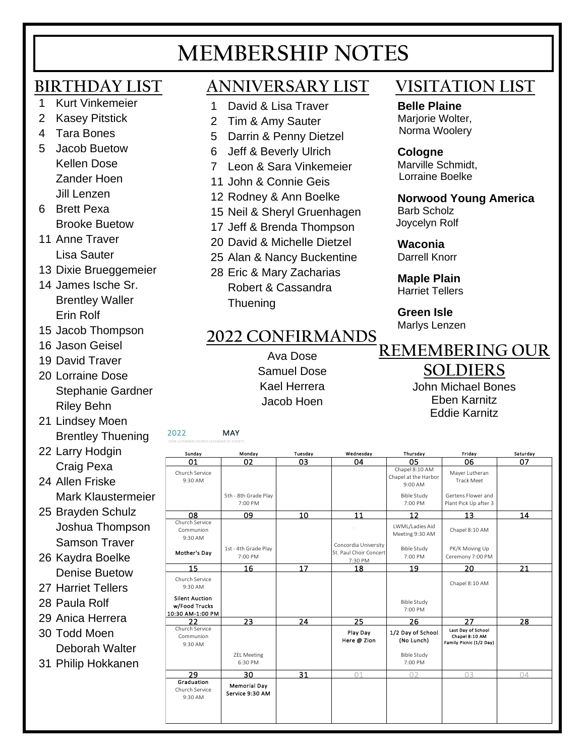# **MEMBERSHIP NOTES**

### **BIRTHDAY LIST**

- 1 Kurt Vinkemeier
- 2 Kasey Pitstick
- 4 Tara Bones
- 5 Jacob Buetow Kellen Dose Zander Hoen Jill Lenzen
- 6 Brett Pexa Brooke Buetow
- 11 Anne Traver Lisa Sauter
- 13 Dixie Brueggemeier
- 14 James Ische Sr. Brentley Waller Erin Rolf
- 15 Jacob Thompson
- 16 Jason Geisel
- 19 David Traver
- 20 Lorraine Dose Stephanie Gardner Riley Behn
- 21 Lindsey Moen Brentley Thuening
- 22 Larry Hodgin Craig Pexa
- 24 Allen Friske Mark Klaustermeier
- 25 Brayden Schulz Joshua Thompson Samson Traver
- 26 Kaydra Boelke Denise Buetow
- 27 Harriet Tellers
- 28 Paula Rolf
- 29 Anica Herrera
- 30 Todd Moen Deborah Walter
- 31 Philip Hokkanen

### **ANNIVERSARY LIST**

- 1 David & Lisa Traver
- 2 Tim & Amy Sauter
- 5 Darrin & Penny Dietzel
- 6 Jeff & Beverly Ulrich
- 7 Leon & Sara Vinkemeier
- 11 John & Connie Geis
- 12 Rodney & Ann Boelke
- 15 Neil & Sheryl Gruenhagen
- 17 Jeff & Brenda Thompson
- 20 David & Michelle Dietzel
- 25 Alan & Nancy Buckentine
- 28 Eric & Mary Zacharias Robert & Cassandra **Thuening**

### **2022 CONFIRMANDS**

Ava Dose Samuel Dose Kael Herrera Jacob Hoen

- 
- -

### **VISITATION LIST**

 **Belle Plaine** Mariorie Wolter, Norma Woolery

### **Cologne**

 Marville Schmidt, Lorraine Boelke

### **Norwood Young America**

 Barb Scholz Joycelyn Rolf

#### **Waconia**  Darrell Knorr

 **Maple Plain** Harriet Tellers

 **Green Isle** Marlys Lenzen

# **REMEMBERING OUR**

### **SOLDIERS**

John Michael Bones Eben Karnitz Eddie Karnitz

|                                                            | Kael Herrera<br>John Michael Bones     |            |                                                           |                                                   |                                                                 |          |
|------------------------------------------------------------|----------------------------------------|------------|-----------------------------------------------------------|---------------------------------------------------|-----------------------------------------------------------------|----------|
|                                                            |                                        | Jacob Hoen |                                                           |                                                   | <b>Eben Karnitz</b>                                             |          |
|                                                            |                                        |            |                                                           |                                                   | <b>Eddie Karnitz</b>                                            |          |
| 2022<br>ZION LUTHERAN CHURCH CALENDAR OF EVENTS            | <b>MAY</b>                             |            |                                                           |                                                   |                                                                 |          |
| Sunday                                                     | Monday                                 | Tuesday    | Wednesday                                                 | Thursday                                          | Friday                                                          | Saturday |
| 01                                                         | 02                                     | 03         | 04                                                        | 05                                                | 06                                                              | 07       |
| Church Service<br>9:30 AM                                  |                                        |            |                                                           | Chapel 8:10 AM<br>Chapel at the Harbor<br>9:00 AM | Mayer Lutheran<br><b>Track Meet</b>                             |          |
|                                                            | 5th - 8th Grade Play<br>7:00 PM        |            |                                                           | Bible Study<br>7:00 PM                            | Gertens Flower and<br>Plant Pick Up after 3                     |          |
| 08                                                         | 09                                     | 10         | 11                                                        | 12                                                | 13                                                              | 14       |
| Church Service<br>Communion<br>9:30 AM                     |                                        |            |                                                           | LWML/Ladies Aid<br>Meeting 9:30 AM                | Chapel 8:10 AM                                                  |          |
| Mother's Day                                               | 1st - 4th Grade Play<br>7:00 PM        |            | Concordia University<br>St. Paul Choir Concert<br>7:30 PM | <b>Bible Study</b><br>7:00 PM                     | PK/K Moving Up<br>Ceremony 7:00 PM                              |          |
| 15                                                         | 16                                     | 17         | 18                                                        | 19                                                | 20                                                              | 21       |
| Church Service<br>9:30 AM                                  |                                        |            |                                                           |                                                   | Chapel 8:10 AM                                                  |          |
| <b>Silent Auction</b><br>w/Food Trucks<br>10:30 AM-1:00 PM |                                        |            |                                                           | <b>Bible Study</b><br>7:00 PM                     |                                                                 |          |
| 22                                                         | 23                                     | 24         | 25                                                        | 26                                                | 27                                                              | 28       |
| Church Service<br>Communion<br>9:30 AM                     |                                        |            | Play Day<br>Here @ Zion                                   | 1/2 Day of School<br>(No Lunch)                   | Last Day of School<br>Chapel 8:10 AM<br>Family Picnic (1/2 Day) |          |
|                                                            | <b>ZEL Meeting</b><br>6:30 PM          |            |                                                           | <b>Bible Study</b><br>7:00 PM                     |                                                                 |          |
| 29                                                         | 30                                     | 31         | Λ1                                                        | ΩD                                                | nз                                                              | 04       |
| Graduation<br>Church Service<br>9:30 AM                    | <b>Memorial Day</b><br>Service 9:30 AM |            |                                                           |                                                   |                                                                 |          |
|                                                            |                                        |            |                                                           |                                                   |                                                                 |          |